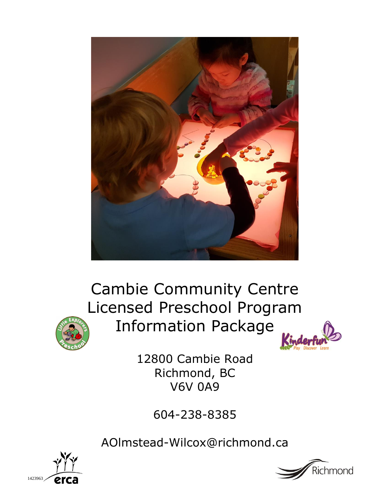

Cambie Community Centre Licensed Preschool Program Information Package





12800 Cambie Road Richmond, BC V6V 0A9

604-238-8385

AOlmstead-Wilcox@richmond.ca



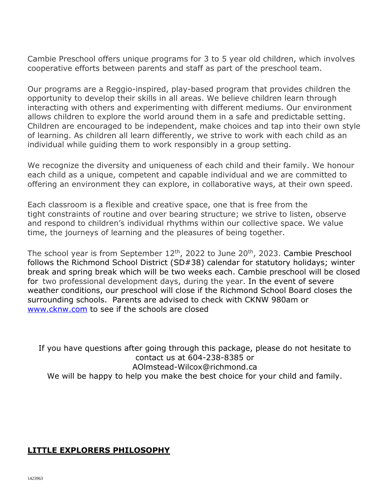Cambie Preschool offers unique programs for 3 to 5 year old children, which involves cooperative efforts between parents and staff as part of the preschool team.

Our programs are a Reggio-inspired, play-based program that provides children the opportunity to develop their skills in all areas. We believe children learn through interacting with others and experimenting with different mediums. Our environment allows children to explore the world around them in a safe and predictable setting. Children are encouraged to be independent, make choices and tap into their own style of learning. As children all learn differently, we strive to work with each child as an individual while guiding them to work responsibly in a group setting.

We recognize the diversity and uniqueness of each child and their family. We honour each child as a unique, competent and capable individual and we are committed to offering an environment they can explore, in collaborative ways, at their own speed.

Each classroom is a flexible and creative space, one that is free from the tight constraints of routine and over bearing structure; we strive to listen, observe and respond to children's individual rhythms within our collective space. We value time, the journeys of learning and the pleasures of being together.

The school year is from September 12<sup>th</sup>, 2022 to June 20<sup>th</sup>, 2023. Cambie Preschool follows the Richmond School District (SD#38) calendar for statutory holidays; winter break and spring break which will be two weeks each. Cambie preschool will be closed for two professional development days, during the year. In the event of severe weather conditions, our preschool will close if the Richmond School Board closes the surrounding schools. Parents are advised to check with CKNW 980am or [www.cknw.com](http://www.cknw.com/) to see if the schools are closed

If you have questions after going through this package, please do not hesitate to contact us at 604-238-8385 or AOlmstead-Wilcox@richmond.ca We will be happy to help you make the best choice for your child and family.

# **LITTLE EXPLORERS PHILOSOPHY**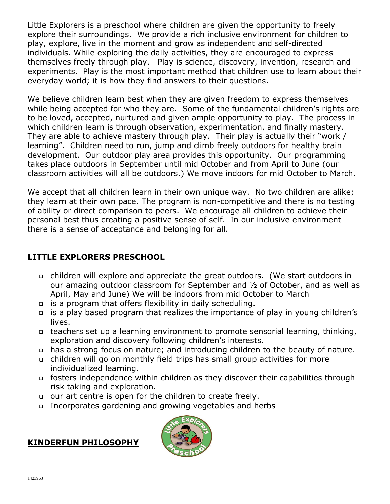Little Explorers is a preschool where children are given the opportunity to freely explore their surroundings. We provide a rich inclusive environment for children to play, explore, live in the moment and grow as independent and self-directed individuals. While exploring the daily activities, they are encouraged to express themselves freely through play. Play is science, discovery, invention, research and experiments. Play is the most important method that children use to learn about their everyday world; it is how they find answers to their questions.

We believe children learn best when they are given freedom to express themselves while being accepted for who they are. Some of the fundamental children's rights are to be loved, accepted, nurtured and given ample opportunity to play. The process in which children learn is through observation, experimentation, and finally mastery. They are able to achieve mastery through play. Their play is actually their "work / learning". Children need to run, jump and climb freely outdoors for healthy brain development. Our outdoor play area provides this opportunity. Our programming takes place outdoors in September until mid October and from April to June (our classroom activities will all be outdoors.) We move indoors for mid October to March.

We accept that all children learn in their own unique way. No two children are alike; they learn at their own pace. The program is non-competitive and there is no testing of ability or direct comparison to peers. We encourage all children to achieve their personal best thus creating a positive sense of self. In our inclusive environment there is a sense of acceptance and belonging for all.

# **LITTLE EXPLORERS PRESCHOOL**

- children will explore and appreciate the great outdoors. (We start outdoors in our amazing outdoor classroom for September and ½ of October, and as well as April, May and June) We will be indoors from mid October to March
- is a program that offers flexibility in daily scheduling.
- is a play based program that realizes the importance of play in young children's lives.
- teachers set up a learning environment to promote sensorial learning, thinking, exploration and discovery following children's interests.
- has a strong focus on nature; and introducing children to the beauty of nature.
- children will go on monthly field trips has small group activities for more individualized learning.
- fosters independence within children as they discover their capabilities through risk taking and exploration.
- our art centre is open for the children to create freely.
- Incorporates gardening and growing vegetables and herbs

# **KINDERFUN PHILOSOPHY**

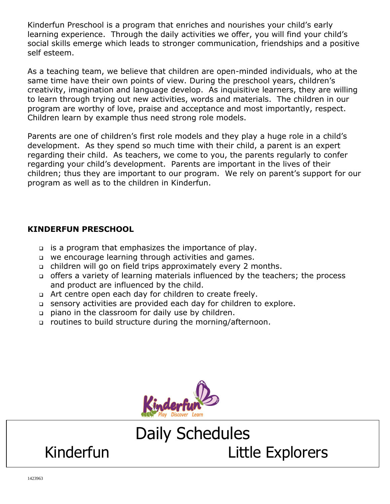Kinderfun Preschool is a program that enriches and nourishes your child's early learning experience. Through the daily activities we offer, you will find your child's social skills emerge which leads to stronger communication, friendships and a positive self esteem.

As a teaching team, we believe that children are open-minded individuals, who at the same time have their own points of view. During the preschool years, children's creativity, imagination and language develop. As inquisitive learners, they are willing to learn through trying out new activities, words and materials. The children in our program are worthy of love, praise and acceptance and most importantly, respect. Children learn by example thus need strong role models.

Parents are one of children's first role models and they play a huge role in a child's development. As they spend so much time with their child, a parent is an expert regarding their child. As teachers, we come to you, the parents regularly to confer regarding your child's development. Parents are important in the lives of their children; thus they are important to our program. We rely on parent's support for our program as well as to the children in Kinderfun.

# **KINDERFUN PRESCHOOL**

- is a program that emphasizes the importance of play.
- we encourage learning through activities and games.
- children will go on field trips approximately every 2 months.
- offers a variety of learning materials influenced by the teachers; the process and product are influenced by the child.
- a Art centre open each day for children to create freely.
- sensory activities are provided each day for children to explore.
- piano in the classroom for daily use by children.
- □ routines to build structure during the morning/afternoon.



# Daily Schedules Kinderfun Little Explorers

1423963

 $\overline{a}$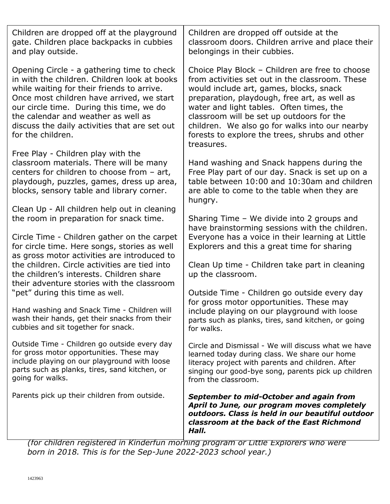| Children are dropped off at the playground<br>gate. Children place backpacks in cubbies<br>and play outside.                                                                                                                                                                                                                                   | Children are dropped off outside at the<br>classroom doors. Children arrive and place their<br>belongings in their cubbies.                                                                                                                                                                                                                                                                              |
|------------------------------------------------------------------------------------------------------------------------------------------------------------------------------------------------------------------------------------------------------------------------------------------------------------------------------------------------|----------------------------------------------------------------------------------------------------------------------------------------------------------------------------------------------------------------------------------------------------------------------------------------------------------------------------------------------------------------------------------------------------------|
| Opening Circle - a gathering time to check<br>in with the children. Children look at books<br>while waiting for their friends to arrive.<br>Once most children have arrived, we start<br>our circle time. During this time, we do<br>the calendar and weather as well as<br>discuss the daily activities that are set out<br>for the children. | Choice Play Block - Children are free to choose<br>from activities set out in the classroom. These<br>would include art, games, blocks, snack<br>preparation, playdough, free art, as well as<br>water and light tables. Often times, the<br>classroom will be set up outdoors for the<br>children. We also go for walks into our nearby<br>forests to explore the trees, shrubs and other<br>treasures. |
| Free Play - Children play with the<br>classroom materials. There will be many<br>centers for children to choose from - art,<br>playdough, puzzles, games, dress up area,<br>blocks, sensory table and library corner.                                                                                                                          | Hand washing and Snack happens during the<br>Free Play part of our day. Snack is set up on a<br>table between 10:00 and 10:30am and children<br>are able to come to the table when they are<br>hungry.                                                                                                                                                                                                   |
| Clean Up - All children help out in cleaning<br>the room in preparation for snack time.<br>Circle Time - Children gather on the carpet<br>for circle time. Here songs, stories as well<br>as gross motor activities are introduced to                                                                                                          | Sharing Time - We divide into 2 groups and<br>have brainstorming sessions with the children.<br>Everyone has a voice in their learning at Little<br>Explorers and this a great time for sharing                                                                                                                                                                                                          |
| the children. Circle activities are tied into<br>the children's interests. Children share<br>their adventure stories with the classroom                                                                                                                                                                                                        | Clean Up time - Children take part in cleaning<br>up the classroom.                                                                                                                                                                                                                                                                                                                                      |
| "pet" during this time as well.<br>Hand washing and Snack Time - Children will<br>wash their hands, get their snacks from their<br>cubbies and sit together for snack.                                                                                                                                                                         | Outside Time - Children go outside every day<br>for gross motor opportunities. These may<br>include playing on our playground with loose<br>parts such as planks, tires, sand kitchen, or going<br>for walks.                                                                                                                                                                                            |
| Outside Time - Children go outside every day<br>for gross motor opportunities. These may<br>include playing on our playground with loose<br>parts such as planks, tires, sand kitchen, or<br>going for walks.                                                                                                                                  | Circle and Dismissal - We will discuss what we have<br>learned today during class. We share our home<br>literacy project with parents and children. After<br>singing our good-bye song, parents pick up children<br>from the classroom.                                                                                                                                                                  |
| Parents pick up their children from outside.                                                                                                                                                                                                                                                                                                   | September to mid-October and again from<br>April to June, our program moves completely<br>outdoors. Class is held in our beautiful outdoor<br>classroom at the back of the East Richmond<br>Hall.                                                                                                                                                                                                        |

*(for children registered in Kinderfun morning program or Little Explorers who were born in 2018. This is for the Sep-June 2022-2023 school year.)*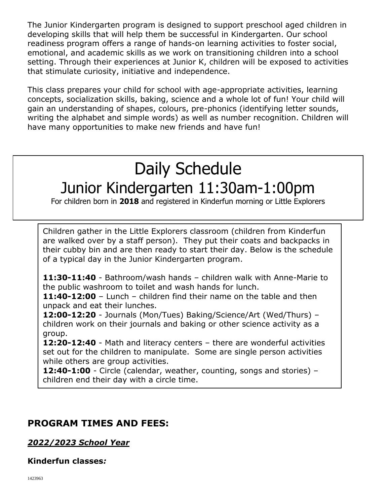The Junior Kindergarten program is designed to support preschool aged children in developing skills that will help them be successful in Kindergarten. Our school readiness program offers a range of hands-on learning activities to foster social, emotional, and academic skills as we work on transitioning children into a school setting. Through their experiences at Junior K, children will be exposed to activities that stimulate curiosity, initiative and independence.

This class prepares your child for school with age-appropriate activities, learning concepts, socialization skills, baking, science and a whole lot of fun! Your child will gain an understanding of shapes, colours, pre-phonics (identifying letter sounds, writing the alphabet and simple words) as well as number recognition. Children will have many opportunities to make new friends and have fun!

# Daily Schedule Junior Kindergarten 11:30am-1:00pm

For children born in **2018** and registered in Kinderfun morning or Little Explorers

Children gather in the Little Explorers classroom (children from Kinderfun are walked over by a staff person). They put their coats and backpacks in their cubby bin and are then ready to start their day. Below is the schedule of a typical day in the Junior Kindergarten program.

**11:30-11:40** - Bathroom/wash hands – children walk with Anne-Marie to the public washroom to toilet and wash hands for lunch.

**11:40-12:00** – Lunch – children find their name on the table and then unpack and eat their lunches.

**12:00-12:20** - Journals (Mon/Tues) Baking/Science/Art (Wed/Thurs) – children work on their journals and baking or other science activity as a group.

**12:20-12:40** - Math and literacy centers – there are wonderful activities set out for the children to manipulate. Some are single person activities while others are group activities.

**12:40-1:00** - Circle (calendar, weather, counting, songs and stories) – children end their day with a circle time.

# **PROGRAM TIMES AND FEES:**

*2022/2023 School Year*

**1:00pm** - Dismissal

# **Kinderfun classes***:*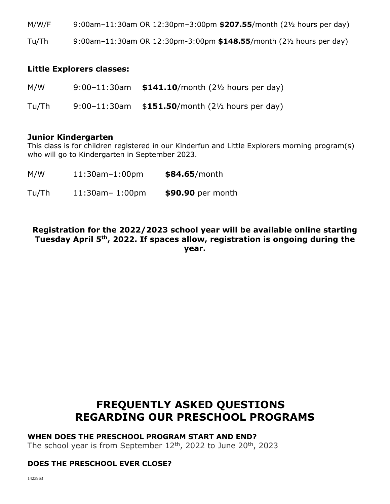M/W/F 9:00am–11:30am OR 12:30pm–3:00pm **\$207.55**/month (2½ hours per day)

Tu/Th 9:00am–11:30am OR 12:30pm-3:00pm **\$148.55**/month (2½ hours per day)

# **Little Explorers classes:**

| M/W   | 9:00-11:30am $$141.10$ /month (21/2 hours per day) |
|-------|----------------------------------------------------|
| Tu/Th | 9:00-11:30am $$151.50/m$ onth (21/2 hours per day) |

#### **Junior Kindergarten**

This class is for children registered in our Kinderfun and Little Explorers morning program(s) who will go to Kindergarten in September 2023.

- M/W 11:30am–1:00pm **\$84.65**/month
- Tu/Th 11:30am– 1:00pm **\$90.90** per month

# **Registration for the 2022/2023 school year will be available online starting Tuesday April 5th, 2022. If spaces allow, registration is ongoing during the year.**

# **FREQUENTLY ASKED QUESTIONS REGARDING OUR PRESCHOOL PROGRAMS**

#### **WHEN DOES THE PRESCHOOL PROGRAM START AND END?**

The school year is from September  $12<sup>th</sup>$ , 2022 to June  $20<sup>th</sup>$ , 2023

# **DOES THE PRESCHOOL EVER CLOSE?**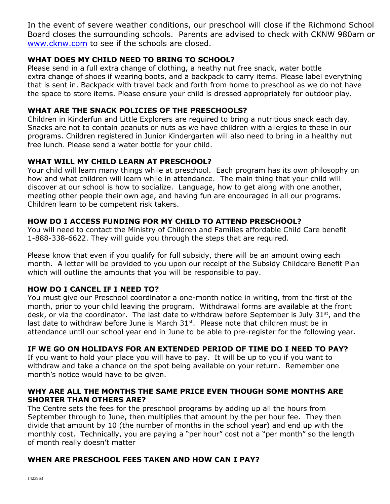In the event of severe weather conditions, our preschool will close if the Richmond School Board closes the surrounding schools. Parents are advised to check with CKNW 980am or [www.cknw.com](http://www.cknw.com/) to see if the schools are closed.

# **WHAT DOES MY CHILD NEED TO BRING TO SCHOOL?**

Please send in a full extra change of clothing, a heathy nut free snack, water bottle extra change of shoes if wearing boots, and a backpack to carry items. Please label everything that is sent in. Backpack with travel back and forth from home to preschool as we do not have the space to store items. Please ensure your child is dressed appropriately for outdoor play.

# **WHAT ARE THE SNACK POLICIES OF THE PRESCHOOLS?**

Children in Kinderfun and Little Explorers are required to bring a nutritious snack each day. Snacks are not to contain peanuts or nuts as we have children with allergies to these in our programs. Children registered in Junior Kindergarten will also need to bring in a healthy nut free lunch. Please send a water bottle for your child.

# **WHAT WILL MY CHILD LEARN AT PRESCHOOL?**

Your child will learn many things while at preschool. Each program has its own philosophy on how and what children will learn while in attendance. The main thing that your child will discover at our school is how to socialize. Language, how to get along with one another, meeting other people their own age, and having fun are encouraged in all our programs. Children learn to be competent risk takers.

# **HOW DO I ACCESS FUNDING FOR MY CHILD TO ATTEND PRESCHOOL?**

You will need to contact the Ministry of Children and Families affordable Child Care benefit 1-888-338-6622. They will guide you through the steps that are required.

Please know that even if you qualify for full subsidy, there will be an amount owing each month. A letter will be provided to you upon our receipt of the Subsidy Childcare Benefit Plan which will outline the amounts that you will be responsible to pay.

# **HOW DO I CANCEL IF I NEED TO?**

You must give our Preschool coordinator a one-month notice in writing, from the first of the month, prior to your child leaving the program. Withdrawal forms are available at the front desk, or via the coordinator. The last date to withdraw before September is July 31<sup>st</sup>, and the last date to withdraw before June is March  $31<sup>st</sup>$ . Please note that children must be in attendance until our school year end in June to be able to pre-register for the following year.

# **IF WE GO ON HOLIDAYS FOR AN EXTENDED PERIOD OF TIME DO I NEED TO PAY?**

If you want to hold your place you will have to pay. It will be up to you if you want to withdraw and take a chance on the spot being available on your return. Remember one month's notice would have to be given.

#### **WHY ARE ALL THE MONTHS THE SAME PRICE EVEN THOUGH SOME MONTHS ARE SHORTER THAN OTHERS ARE?**

The Centre sets the fees for the preschool programs by adding up all the hours from September through to June, then multiplies that amount by the per hour fee. They then divide that amount by 10 (the number of months in the school year) and end up with the monthly cost. Technically, you are paying a "per hour" cost not a "per month" so the length of month really doesn't matter

# **WHEN ARE PRESCHOOL FEES TAKEN AND HOW CAN I PAY?**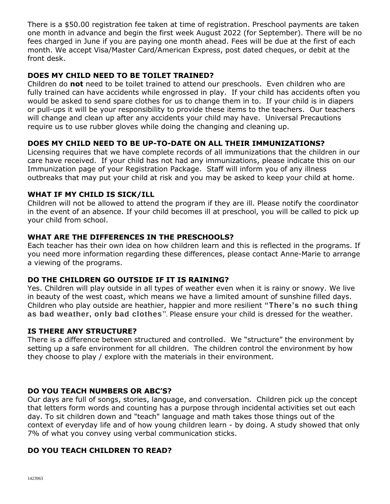There is a \$50.00 registration fee taken at time of registration. Preschool payments are taken one month in advance and begin the first week August 2022 (for September). There will be no fees charged in June if you are paying one month ahead. Fees will be due at the first of each month. We accept Visa/Master Card/American Express, post dated cheques, or debit at the front desk.

# **DOES MY CHILD NEED TO BE TOILET TRAINED?**

Children do **not** need to be toilet trained to attend our preschools. Even children who are fully trained can have accidents while engrossed in play. If your child has accidents often you would be asked to send spare clothes for us to change them in to. If your child is in diapers or pull-ups it will be your responsibility to provide these items to the teachers. Our teachers will change and clean up after any accidents your child may have. Universal Precautions require us to use rubber gloves while doing the changing and cleaning up.

# **DOES MY CHILD NEED TO BE UP-TO-DATE ON ALL THEIR IMMUNIZATIONS?**

Licensing requires that we have complete records of all immunizations that the children in our care have received. If your child has not had any immunizations, please indicate this on our Immunization page of your Registration Package. Staff will inform you of any illness outbreaks that may put your child at risk and you may be asked to keep your child at home.

#### **WHAT IF MY CHILD IS SICK/ILL**

Children will not be allowed to attend the program if they are ill. Please notify the coordinator in the event of an absence. If your child becomes ill at preschool, you will be called to pick up your child from school.

#### **WHAT ARE THE DIFFERENCES IN THE PRESCHOOLS?**

Each teacher has their own idea on how children learn and this is reflected in the programs. If you need more information regarding these differences, please contact Anne-Marie to arrange a viewing of the programs.

# **DO THE CHILDREN GO OUTSIDE IF IT IS RAINING?**

Yes. Children will play outside in all types of weather even when it is rainy or snowy. We live in beauty of the west coast, which means we have a limited amount of sunshine filled days. Children who play outside are heathier, happier and more resilient **["There's no such thing](https://amzn.to/2Cs4vyV)  [as bad weather, only bad clothes](https://amzn.to/2Cs4vyV)**". Please ensure your child is dressed for the weather.

#### **IS THERE ANY STRUCTURE?**

There is a difference between structured and controlled. We "structure" the environment by setting up a safe environment for all children. The children control the environment by how they choose to play / explore with the materials in their environment.

# **DO YOU TEACH NUMBERS OR ABC'S?**

Our days are full of songs, stories, language, and conversation. Children pick up the concept that letters form words and counting has a purpose through incidental activities set out each day. To sit children down and "teach" language and math takes those things out of the context of everyday life and of how young children learn - by doing. A study showed that only 7% of what you convey using verbal communication sticks.

# **DO YOU TEACH CHILDREN TO READ?**